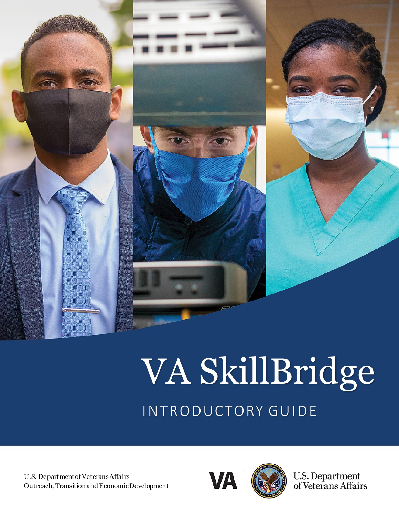

# VA SkillBridge

# INTRODUCTORY GUIDE

U.S. Department of Veterans Affairs Outreach, Transition and Economic Development



U.S. Department<br>of Veterans Affairs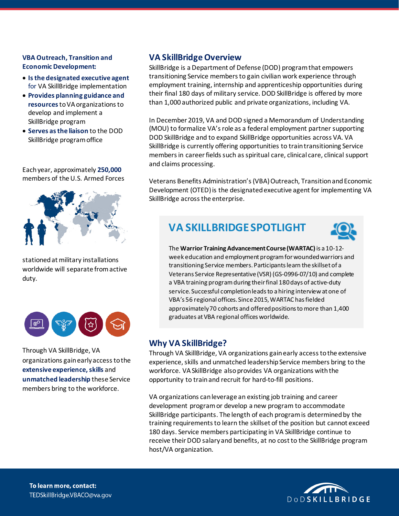#### **VBA Outreach, Transition and Economic Development:**

- **Is the designated executive agent**  for VA SkillBridge implementation
- **Provides planning guidance and resources** to VA organizations to develop and implement a SkillBridge program
- **Serves as the liaison** to the DOD SkillBridge program office

Each year, approximately **250,000**  members of the U.S. Armed Forces



stationed at military installations worldwide will separate from active duty.



Through VA SkillBridge, VA organizations gain early access to the **extensive experience, skills** and **unmatched leadership** these Service members bring to the workforce.

#### **VA SkillBridge Overview**

SkillBridge is a Department of Defense (DOD) programthat empowers transitioning Service members to gain civilian work experience through employment training, internship and apprenticeship opportunities during their final 180 days of military service. DOD SkillBridge is offered by more than 1,000 authorized public and private organizations, including VA.

In December 2019, VA and DOD signed a Memorandum of Understanding (MOU) to formalize VA's role as a federal employment partner supporting DOD SkillBridge and to expand SkillBridge opportunities across VA. VA SkillBridge is currently offering opportunities to train transitioning Service members in career fields such as spiritual care, clinical care, clinical support and claims processing.

Veterans Benefits Administration's(VBA) Outreach, Transition and Economic Development (OTED) is the designated executive agent for implementing VA SkillBridge across the enterprise.

## **VA SKILLBRIDGE SPOTLIGHT**



The **Warrior Training Advancement Course (WARTAC)**is a 10-12 week education and employment program for wounded warriors and transitioning Service members. Participants learn the skillset of a Veterans Service Representative (VSR) (GS-0996-07/10) and complete a VBA training programduring their final 180 days of active-duty service. Successful completion leads to a hiring interview at one of VBA's 56 regional offices. Since 2015, WARTAC has fielded approximately 70 cohorts and offered positions to more than 1,400 graduates at VBA regional offices worldwide.

#### **Why VA SkillBridge?**

Through VA SkillBridge, VA organizations gain early access to the extensive experience, skills and unmatched leadership Service members bring to the workforce. VA SkillBridge also provides VA organizations with the opportunity to train and recruit for hard-to-fill positions.

VA organizations can leverage an existing job training and career development program or develop a new program to accommodate SkillBridge participants. The length of each program is determined by the training requirements to learn the skillset of the position but cannot exceed 180 days. Service members participating in VA SkillBridge continue to receive their DOD salary and benefits, at no cost to the SkillBridge program host/VA organization.

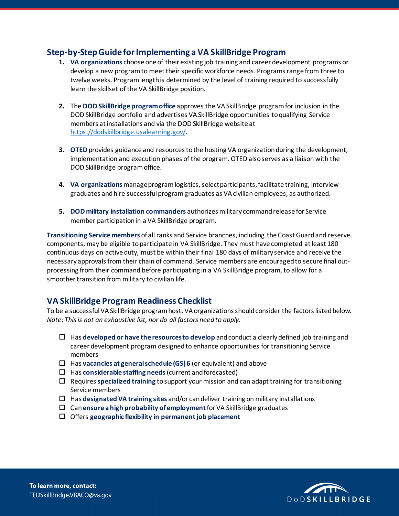#### **Step-by-Step Guide for Implementing a VA SkillBridge Program**

- **1. VA organizations** choose one of their existing job training and career development programs or develop a new program to meet their specific workforce needs. Programs range from three to twelve weeks. Programlength is determined by the level of training required to successfully learn the skillset of the VA SkillBridge position.
- **2.** The **DOD SkillBridge program office** approves the VA SkillBridge program for inclusion in the DOD SkillBridge portfolio and advertises VA SkillBridge opportunities to qualifying Service members at installations and via the DOD SkillBridge website at [https://dodskillbridge.usalearning.gov/.](https://dodskillbridge.usalearning.gov/)
- **3. OTED** provides guidance and resources to the hosting VA organization during the development, implementation and execution phases of the program. OTED alsoserves as a liaison with the DOD SkillBridge program office.
- **4. VA organizations** manage program logistics, select participants, facilitate training, interview graduates and hire successful program graduates as VA civilian employees, as authorized.
- **5. DOD military installation commanders** authorizes military command release for Service member participation in a VA SkillBridge program.

**Transitioning Service members** of all ranks and Service branches, including the Coast Guardand reserve components, may be eligible to participate in VA SkillBridge. They must have completed at least 180 continuous days on active duty, must be within their final 180 days of military service and receive the necessary approvals from their chain of command. Service members are encouraged to secure final outprocessing from their command before participating in a VA SkillBridge program, to allow for a smoother transition from military to civilian life.

#### **VA SkillBridge Program Readiness Checklist**

To be a successful VA SkillBridge program host, VA organizations should consider the factors listed below. *Note: This is not an exhaustive list, nor do all factors need to apply.* 

- Has **developed or have the resources to develop** and conduct a clearly defined job training and career development program designed to enhance opportunities for transitioning Service members
- Has **vacancies at general schedule (GS) 6** (or equivalent) and above
- Has **considerable staffing needs** (current and forecasted)
- Requires **specialized training** to support your mission and can adapt training for transitioning Service members
- Has **designated VA training sites** and/or can deliver training on military installations
- Can **ensure a high probability of employment** for VA SkillBridge graduates
- Offers **geographic flexibility in permanent job placement**